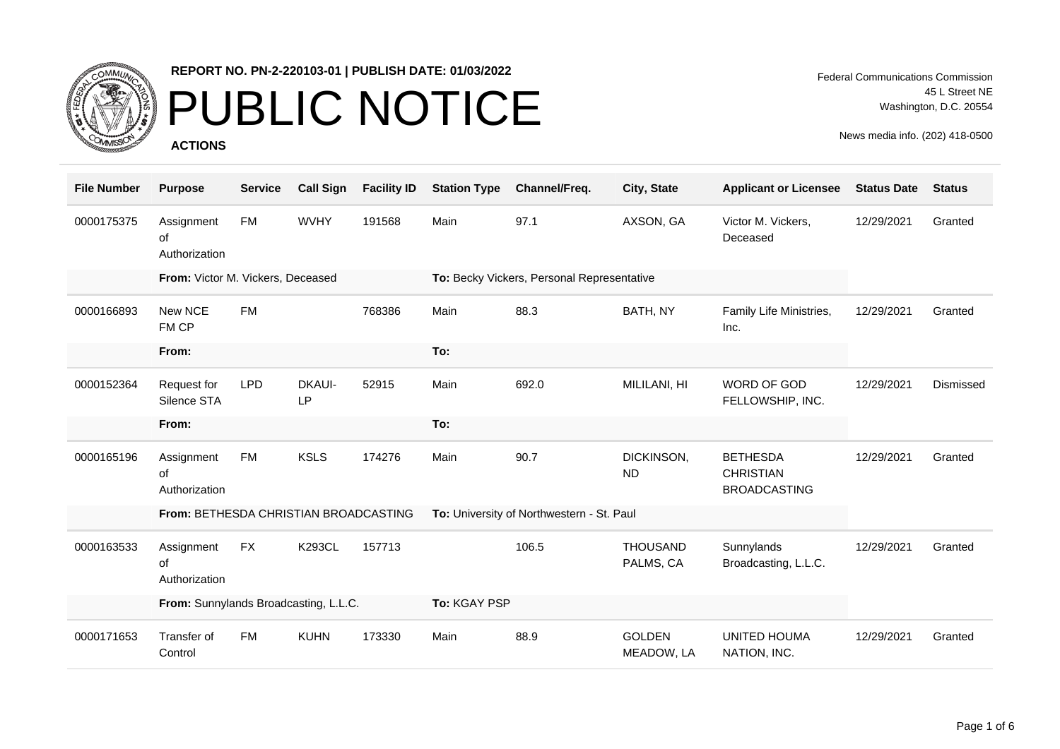

### PUBLIC NOTICE

**ACTIONS**

Federal Communications Commission 45 L Street NE Washington, D.C. 20554

| <b>File Number</b> | <b>Purpose</b>                        | <b>Service</b> | <b>Call Sign</b>    | <b>Facility ID</b> | <b>Station Type</b>                       | Channel/Freq.                              | City, State                  | <b>Applicant or Licensee</b>                               | <b>Status Date</b> | <b>Status</b> |
|--------------------|---------------------------------------|----------------|---------------------|--------------------|-------------------------------------------|--------------------------------------------|------------------------------|------------------------------------------------------------|--------------------|---------------|
| 0000175375         | Assignment<br>οf<br>Authorization     | <b>FM</b>      | <b>WVHY</b>         | 191568             | Main                                      | 97.1                                       | AXSON, GA                    | Victor M. Vickers,<br>Deceased                             | 12/29/2021         | Granted       |
|                    | From: Victor M. Vickers, Deceased     |                |                     |                    |                                           | To: Becky Vickers, Personal Representative |                              |                                                            |                    |               |
| 0000166893         | New NCE<br>FM CP                      | <b>FM</b>      |                     | 768386             | Main                                      | 88.3                                       | BATH, NY                     | Family Life Ministries,<br>Inc.                            | 12/29/2021         | Granted       |
|                    | From:                                 |                |                     |                    | To:                                       |                                            |                              |                                                            |                    |               |
| 0000152364         | Request for<br>Silence STA            | <b>LPD</b>     | <b>DKAUI-</b><br>LP | 52915              | Main                                      | 692.0                                      | MILILANI, HI                 | <b>WORD OF GOD</b><br>FELLOWSHIP, INC.                     | 12/29/2021         | Dismissed     |
|                    | From:                                 |                |                     |                    | To:                                       |                                            |                              |                                                            |                    |               |
| 0000165196         | Assignment<br>οf<br>Authorization     | <b>FM</b>      | <b>KSLS</b>         | 174276             | Main                                      | 90.7                                       | DICKINSON,<br><b>ND</b>      | <b>BETHESDA</b><br><b>CHRISTIAN</b><br><b>BROADCASTING</b> | 12/29/2021         | Granted       |
|                    | From: BETHESDA CHRISTIAN BROADCASTING |                |                     |                    | To: University of Northwestern - St. Paul |                                            |                              |                                                            |                    |               |
| 0000163533         | Assignment<br>οf<br>Authorization     | <b>FX</b>      | <b>K293CL</b>       | 157713             |                                           | 106.5                                      | <b>THOUSAND</b><br>PALMS, CA | Sunnylands<br>Broadcasting, L.L.C.                         | 12/29/2021         | Granted       |
|                    | From: Sunnylands Broadcasting, L.L.C. |                |                     |                    | To: KGAY PSP                              |                                            |                              |                                                            |                    |               |
| 0000171653         | Transfer of<br>Control                | <b>FM</b>      | <b>KUHN</b>         | 173330             | Main                                      | 88.9                                       | <b>GOLDEN</b><br>MEADOW, LA  | <b>UNITED HOUMA</b><br>NATION, INC.                        | 12/29/2021         | Granted       |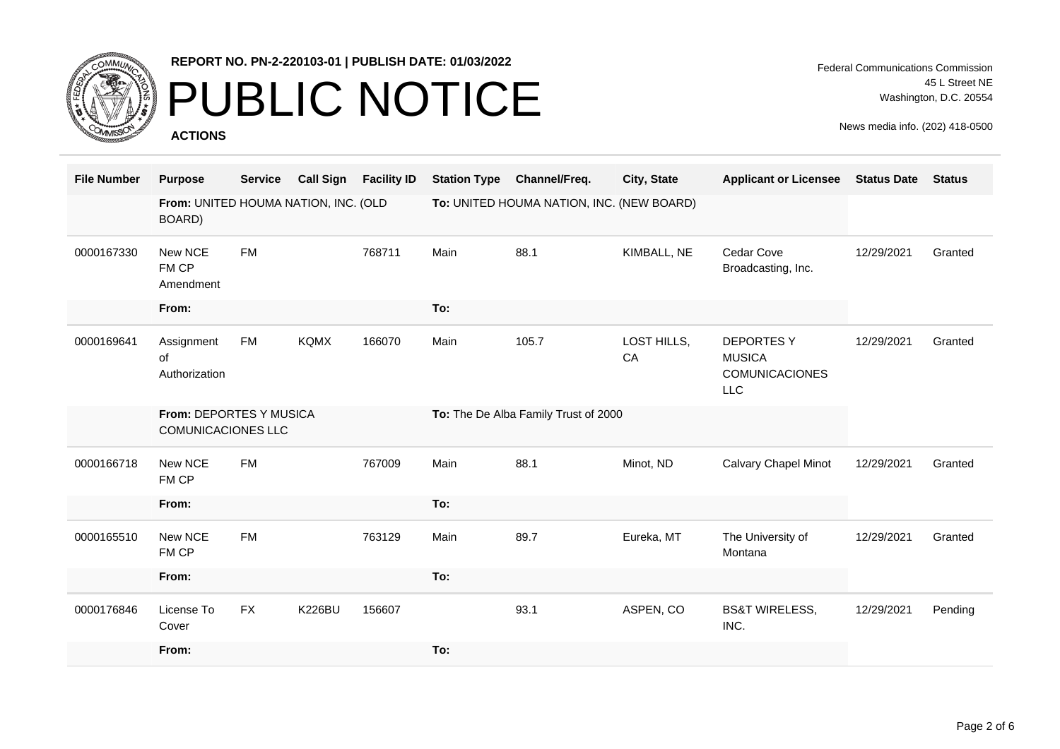

### PUBLIC NOTICE

**ACTIONS**

Federal Communications Commission 45 L Street NE Washington, D.C. 20554

| <b>File Number</b> | <b>Purpose</b>                                       | <b>Service</b> | <b>Call Sign</b> | <b>Facility ID</b> | <b>Station Type</b>                  | Channel/Freq.                             | City, State       | <b>Applicant or Licensee</b>                                             | <b>Status Date</b> | <b>Status</b> |
|--------------------|------------------------------------------------------|----------------|------------------|--------------------|--------------------------------------|-------------------------------------------|-------------------|--------------------------------------------------------------------------|--------------------|---------------|
|                    | From: UNITED HOUMA NATION, INC. (OLD<br>BOARD)       |                |                  |                    |                                      | To: UNITED HOUMA NATION, INC. (NEW BOARD) |                   |                                                                          |                    |               |
| 0000167330         | New NCE<br>FM CP<br>Amendment                        | <b>FM</b>      |                  | 768711             | Main                                 | 88.1                                      | KIMBALL, NE       | Cedar Cove<br>Broadcasting, Inc.                                         | 12/29/2021         | Granted       |
|                    | From:                                                |                |                  |                    | To:                                  |                                           |                   |                                                                          |                    |               |
| 0000169641         | Assignment<br>of<br>Authorization                    | <b>FM</b>      | <b>KQMX</b>      | 166070             | Main                                 | 105.7                                     | LOST HILLS,<br>CA | <b>DEPORTESY</b><br><b>MUSICA</b><br><b>COMUNICACIONES</b><br><b>LLC</b> | 12/29/2021         | Granted       |
|                    | From: DEPORTES Y MUSICA<br><b>COMUNICACIONES LLC</b> |                |                  |                    | To: The De Alba Family Trust of 2000 |                                           |                   |                                                                          |                    |               |
| 0000166718         | New NCE<br>FM CP                                     | <b>FM</b>      |                  | 767009             | Main                                 | 88.1                                      | Minot, ND         | <b>Calvary Chapel Minot</b>                                              | 12/29/2021         | Granted       |
|                    | From:                                                |                |                  |                    | To:                                  |                                           |                   |                                                                          |                    |               |
| 0000165510         | New NCE<br>FM CP                                     | <b>FM</b>      |                  | 763129             | Main                                 | 89.7                                      | Eureka, MT        | The University of<br>Montana                                             | 12/29/2021         | Granted       |
|                    | From:                                                |                |                  |                    | To:                                  |                                           |                   |                                                                          |                    |               |
| 0000176846         | License To<br>Cover                                  | <b>FX</b>      | <b>K226BU</b>    | 156607             |                                      | 93.1                                      | ASPEN, CO         | <b>BS&amp;T WIRELESS,</b><br>INC.                                        | 12/29/2021         | Pending       |
|                    | From:                                                |                |                  |                    | To:                                  |                                           |                   |                                                                          |                    |               |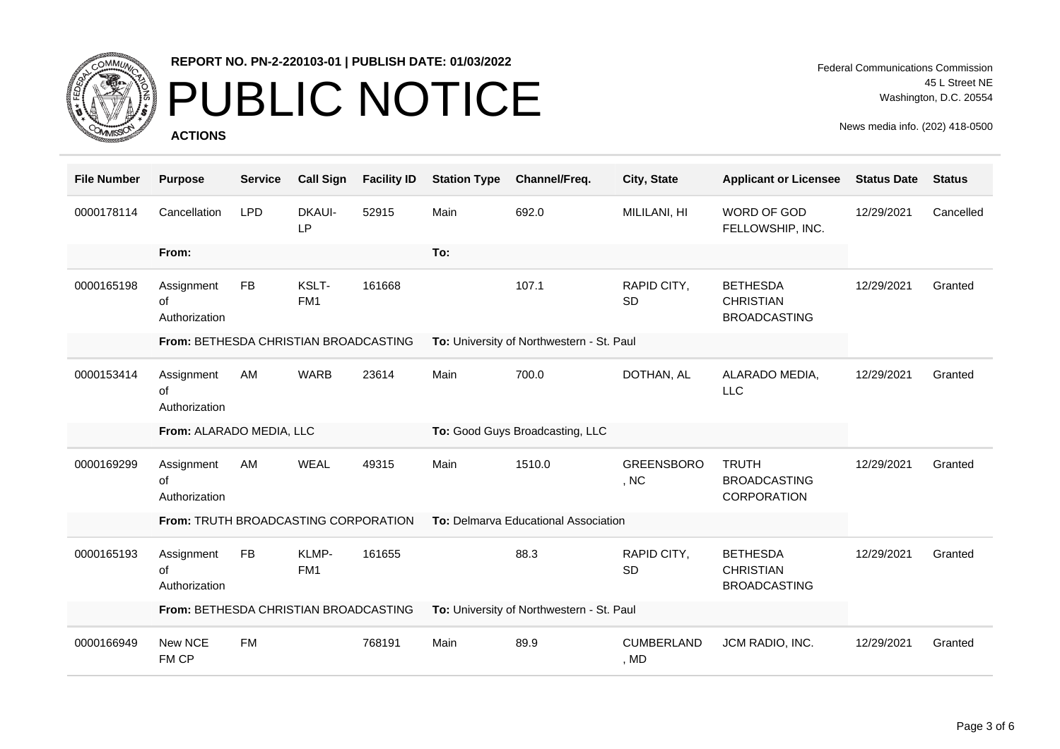

# PUBLIC NOTICE

**ACTIONS**

Federal Communications Commission 45 L Street NE Washington, D.C. 20554

| <b>File Number</b> | <b>Purpose</b>                               | <b>Service</b> | <b>Call Sign</b>         | <b>Facility ID</b> | <b>Station Type</b> | Channel/Freq.                             | City, State               | <b>Applicant or Licensee</b>                               | <b>Status Date</b> | <b>Status</b> |
|--------------------|----------------------------------------------|----------------|--------------------------|--------------------|---------------------|-------------------------------------------|---------------------------|------------------------------------------------------------|--------------------|---------------|
| 0000178114         | Cancellation                                 | <b>LPD</b>     | <b>DKAUI-</b><br>LP      | 52915              | Main                | 692.0                                     | MILILANI, HI              | WORD OF GOD<br>FELLOWSHIP, INC.                            | 12/29/2021         | Cancelled     |
|                    | From:                                        |                |                          |                    | To:                 |                                           |                           |                                                            |                    |               |
| 0000165198         | Assignment<br>of<br>Authorization            | <b>FB</b>      | KSLT-<br>FM <sub>1</sub> | 161668             |                     | 107.1                                     | RAPID CITY,<br><b>SD</b>  | <b>BETHESDA</b><br><b>CHRISTIAN</b><br><b>BROADCASTING</b> | 12/29/2021         | Granted       |
|                    | From: BETHESDA CHRISTIAN BROADCASTING        |                |                          |                    |                     | To: University of Northwestern - St. Paul |                           |                                                            |                    |               |
| 0000153414         | Assignment<br>of<br>Authorization            | AM             | <b>WARB</b>              | 23614              | Main                | 700.0                                     | DOTHAN, AL                | ALARADO MEDIA,<br><b>LLC</b>                               | 12/29/2021         | Granted       |
|                    |                                              |                |                          |                    |                     |                                           |                           |                                                            |                    |               |
|                    | From: ALARADO MEDIA, LLC                     |                |                          |                    |                     | To: Good Guys Broadcasting, LLC           |                           |                                                            |                    |               |
| 0000169299         | Assignment<br>of<br>Authorization            | AM             | <b>WEAL</b>              | 49315              | Main                | 1510.0                                    | <b>GREENSBORO</b><br>, NC | <b>TRUTH</b><br><b>BROADCASTING</b><br>CORPORATION         | 12/29/2021         | Granted       |
|                    | From: TRUTH BROADCASTING CORPORATION         |                |                          |                    |                     | To: Delmarva Educational Association      |                           |                                                            |                    |               |
| 0000165193         | Assignment<br>of<br>Authorization            | <b>FB</b>      | KLMP-<br>FM1             | 161655             |                     | 88.3                                      | RAPID CITY,<br><b>SD</b>  | <b>BETHESDA</b><br><b>CHRISTIAN</b><br><b>BROADCASTING</b> | 12/29/2021         | Granted       |
|                    | <b>From: BETHESDA CHRISTIAN BROADCASTING</b> |                |                          |                    |                     | To: University of Northwestern - St. Paul |                           |                                                            |                    |               |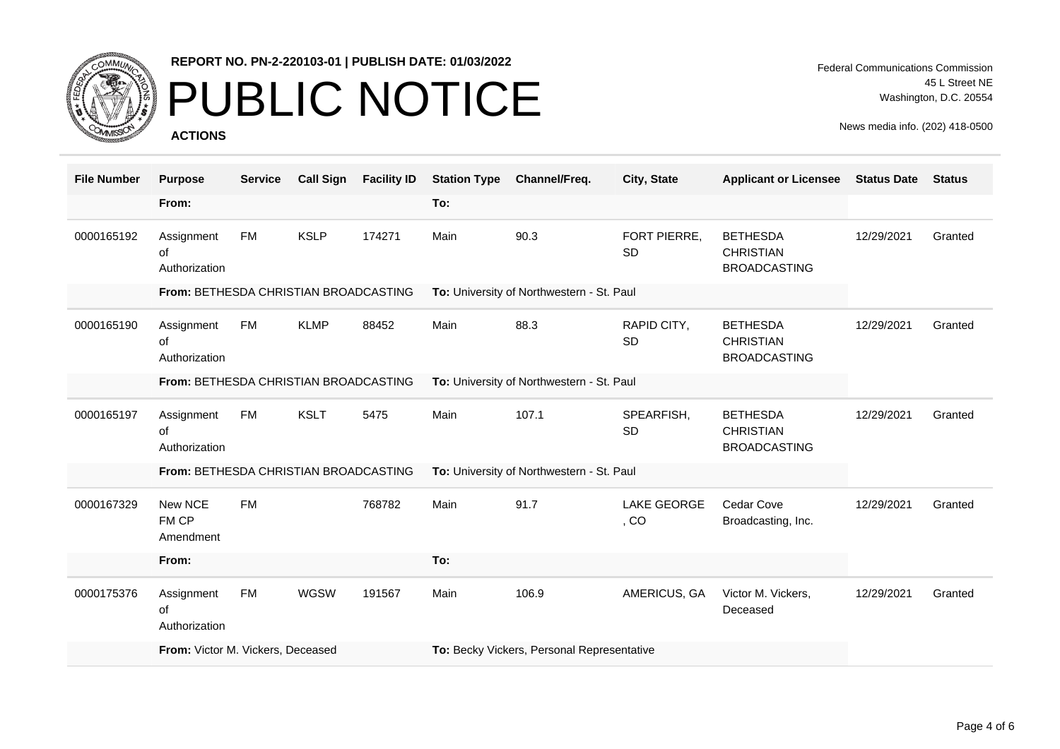

# PUBLIC NOTICE

**ACTIONS**

Federal Communications Commission 45 L Street NE Washington, D.C. 20554

| <b>File Number</b> | <b>Purpose</b>                               | <b>Service</b> | <b>Call Sign</b> | <b>Facility ID</b> | <b>Station Type</b>                        | Channel/Freq.                             | City, State                | <b>Applicant or Licensee</b>                               | <b>Status Date</b> | <b>Status</b> |  |
|--------------------|----------------------------------------------|----------------|------------------|--------------------|--------------------------------------------|-------------------------------------------|----------------------------|------------------------------------------------------------|--------------------|---------------|--|
|                    | From:                                        |                |                  |                    | To:                                        |                                           |                            |                                                            |                    |               |  |
| 0000165192         | Assignment<br>0f<br>Authorization            | FM             | <b>KSLP</b>      | 174271             | Main                                       | 90.3                                      | FORT PIERRE,<br><b>SD</b>  | <b>BETHESDA</b><br><b>CHRISTIAN</b><br><b>BROADCASTING</b> | 12/29/2021         | Granted       |  |
|                    | From: BETHESDA CHRISTIAN BROADCASTING        |                |                  |                    |                                            | To: University of Northwestern - St. Paul |                            |                                                            |                    |               |  |
| 0000165190         | Assignment<br>of<br>Authorization            | FM             | <b>KLMP</b>      | 88452              | Main                                       | 88.3                                      | RAPID CITY,<br><b>SD</b>   | <b>BETHESDA</b><br><b>CHRISTIAN</b><br><b>BROADCASTING</b> | 12/29/2021         | Granted       |  |
|                    | From: BETHESDA CHRISTIAN BROADCASTING        |                |                  |                    |                                            | To: University of Northwestern - St. Paul |                            |                                                            |                    |               |  |
| 0000165197         | Assignment<br>of<br>Authorization            | FM             | <b>KSLT</b>      | 5475               | Main                                       | 107.1                                     | SPEARFISH,<br>SD           | <b>BETHESDA</b><br><b>CHRISTIAN</b><br><b>BROADCASTING</b> | 12/29/2021         | Granted       |  |
|                    | <b>From: BETHESDA CHRISTIAN BROADCASTING</b> |                |                  |                    | To: University of Northwestern - St. Paul  |                                           |                            |                                                            |                    |               |  |
| 0000167329         | New NCE<br>FM CP<br>Amendment                | <b>FM</b>      |                  | 768782             | Main                                       | 91.7                                      | <b>LAKE GEORGE</b><br>, CO | Cedar Cove<br>Broadcasting, Inc.                           | 12/29/2021         | Granted       |  |
|                    | From:                                        |                |                  |                    | To:                                        |                                           |                            |                                                            |                    |               |  |
| 0000175376         | Assignment<br>of<br>Authorization            | <b>FM</b>      | <b>WGSW</b>      | 191567             | Main                                       | 106.9                                     | AMERICUS, GA               | Victor M. Vickers,<br>Deceased                             | 12/29/2021         | Granted       |  |
|                    | From: Victor M. Vickers, Deceased            |                |                  |                    | To: Becky Vickers, Personal Representative |                                           |                            |                                                            |                    |               |  |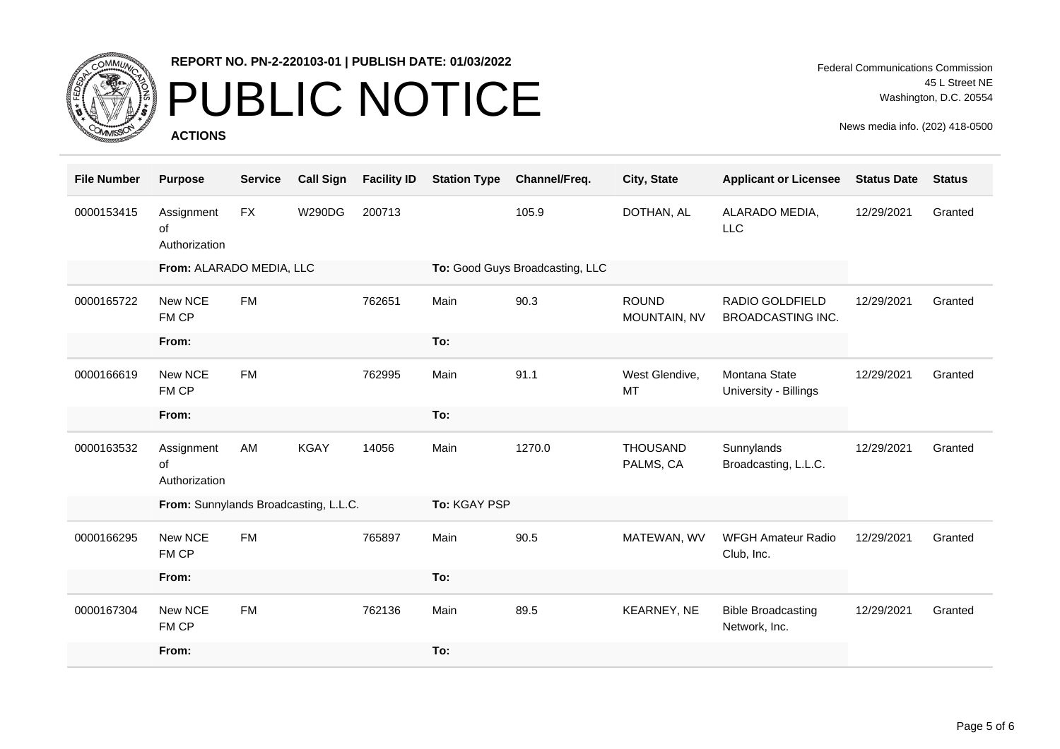

# PUBLIC NOTICE

**ACTIONS**

| <b>File Number</b> | <b>Purpose</b>                        | <b>Service</b> | <b>Call Sign</b> | <b>Facility ID</b> | <b>Station Type</b> | Channel/Freq.                   | City, State                  | <b>Applicant or Licensee</b>                | <b>Status Date</b> | <b>Status</b> |
|--------------------|---------------------------------------|----------------|------------------|--------------------|---------------------|---------------------------------|------------------------------|---------------------------------------------|--------------------|---------------|
| 0000153415         | Assignment<br>of<br>Authorization     | <b>FX</b>      | <b>W290DG</b>    | 200713             |                     | 105.9                           | DOTHAN, AL                   | ALARADO MEDIA,<br><b>LLC</b>                | 12/29/2021         | Granted       |
|                    | From: ALARADO MEDIA, LLC              |                |                  |                    |                     | To: Good Guys Broadcasting, LLC |                              |                                             |                    |               |
| 0000165722         | New NCE<br>FM CP                      | <b>FM</b>      |                  | 762651             | Main                | 90.3                            | <b>ROUND</b><br>MOUNTAIN, NV | RADIO GOLDFIELD<br><b>BROADCASTING INC.</b> | 12/29/2021         | Granted       |
|                    | From:                                 |                |                  |                    | To:                 |                                 |                              |                                             |                    |               |
| 0000166619         | New NCE<br>FM CP                      | <b>FM</b>      |                  | 762995             | Main                | 91.1                            | West Glendive,<br><b>MT</b>  | Montana State<br>University - Billings      | 12/29/2021         | Granted       |
|                    | From:                                 |                |                  |                    | To:                 |                                 |                              |                                             |                    |               |
| 0000163532         | Assignment<br>of<br>Authorization     | AM             | <b>KGAY</b>      | 14056              | Main                | 1270.0                          | <b>THOUSAND</b><br>PALMS, CA | Sunnylands<br>Broadcasting, L.L.C.          | 12/29/2021         | Granted       |
|                    | From: Sunnylands Broadcasting, L.L.C. |                |                  |                    | To: KGAY PSP        |                                 |                              |                                             |                    |               |
| 0000166295         | New NCE<br>FM CP                      | <b>FM</b>      |                  | 765897             | Main                | 90.5                            | MATEWAN, WV                  | <b>WFGH Amateur Radio</b><br>Club, Inc.     | 12/29/2021         | Granted       |
|                    | From:                                 |                |                  |                    | To:                 |                                 |                              |                                             |                    |               |
| 0000167304         | New NCE<br>FM CP                      | <b>FM</b>      |                  | 762136             | Main                | 89.5                            | KEARNEY, NE                  | <b>Bible Broadcasting</b><br>Network, Inc.  | 12/29/2021         | Granted       |
|                    | From:                                 |                |                  |                    | To:                 |                                 |                              |                                             |                    |               |